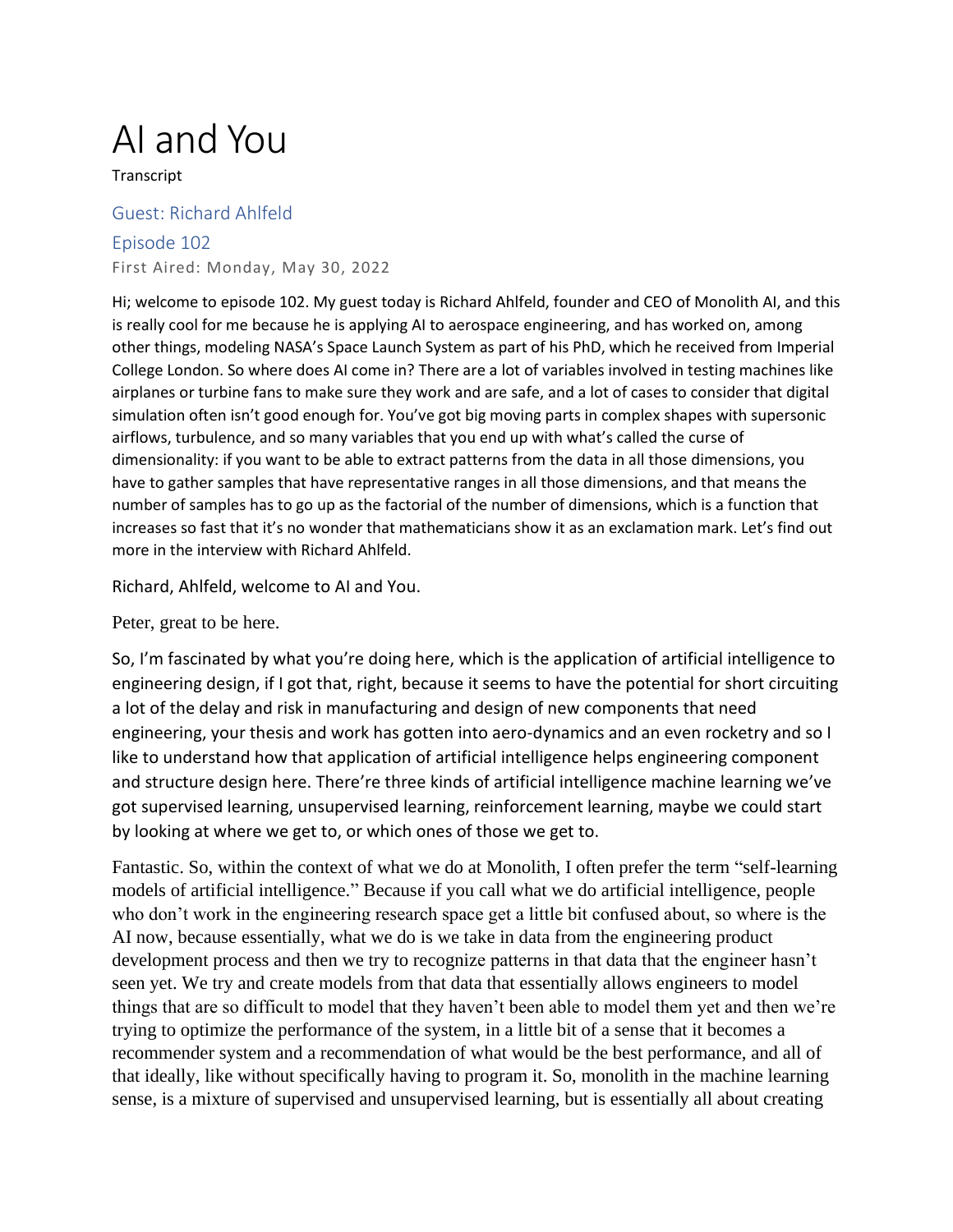## AI and You

**Transcript** 

## Guest: Richard Ahlfeld

## Episode 102 First Aired: Monday, May 30, 2022

Hi; welcome to episode 102. My guest today is Richard Ahlfeld, founder and CEO of Monolith AI, and this is really cool for me because he is applying AI to aerospace engineering, and has worked on, among other things, modeling NASA's Space Launch System as part of his PhD, which he received from Imperial College London. So where does AI come in? There are a lot of variables involved in testing machines like airplanes or turbine fans to make sure they work and are safe, and a lot of cases to consider that digital simulation often isn't good enough for. You've got big moving parts in complex shapes with supersonic airflows, turbulence, and so many variables that you end up with what's called the curse of dimensionality: if you want to be able to extract patterns from the data in all those dimensions, you have to gather samples that have representative ranges in all those dimensions, and that means the number of samples has to go up as the factorial of the number of dimensions, which is a function that increases so fast that it's no wonder that mathematicians show it as an exclamation mark. Let's find out more in the interview with Richard Ahlfeld.

Richard, Ahlfeld, welcome to AI and You.

Peter, great to be here.

So, I'm fascinated by what you're doing here, which is the application of artificial intelligence to engineering design, if I got that, right, because it seems to have the potential for short circuiting a lot of the delay and risk in manufacturing and design of new components that need engineering, your thesis and work has gotten into aero-dynamics and an even rocketry and so I like to understand how that application of artificial intelligence helps engineering component and structure design here. There're three kinds of artificial intelligence machine learning we've got supervised learning, unsupervised learning, reinforcement learning, maybe we could start by looking at where we get to, or which ones of those we get to.

Fantastic. So, within the context of what we do at Monolith, I often prefer the term "self-learning models of artificial intelligence." Because if you call what we do artificial intelligence, people who don't work in the engineering research space get a little bit confused about, so where is the AI now, because essentially, what we do is we take in data from the engineering product development process and then we try to recognize patterns in that data that the engineer hasn't seen yet. We try and create models from that data that essentially allows engineers to model things that are so difficult to model that they haven't been able to model them yet and then we're trying to optimize the performance of the system, in a little bit of a sense that it becomes a recommender system and a recommendation of what would be the best performance, and all of that ideally, like without specifically having to program it. So, monolith in the machine learning sense, is a mixture of supervised and unsupervised learning, but is essentially all about creating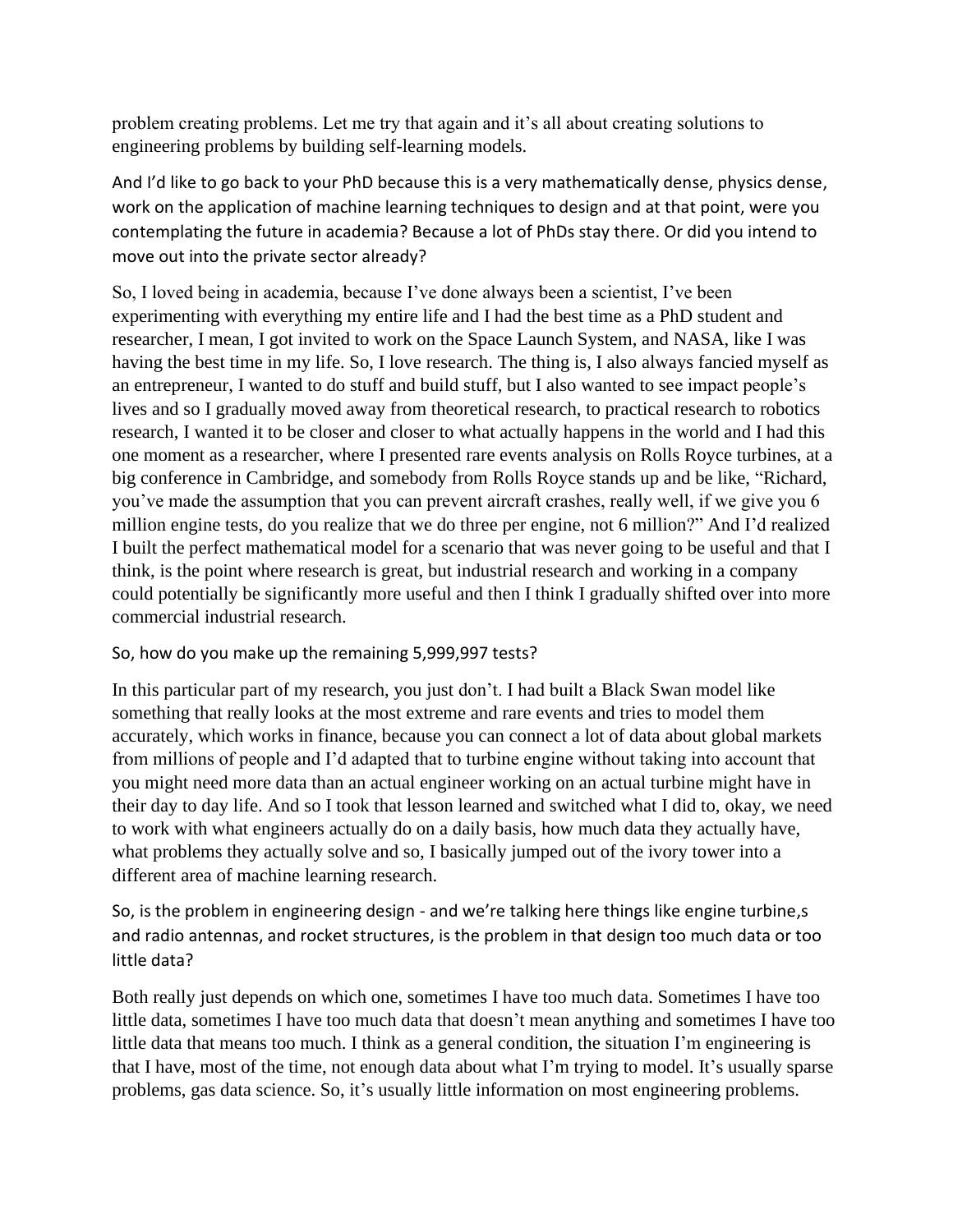problem creating problems. Let me try that again and it's all about creating solutions to engineering problems by building self-learning models.

And I'd like to go back to your PhD because this is a very mathematically dense, physics dense, work on the application of machine learning techniques to design and at that point, were you contemplating the future in academia? Because a lot of PhDs stay there. Or did you intend to move out into the private sector already?

So, I loved being in academia, because I've done always been a scientist, I've been experimenting with everything my entire life and I had the best time as a PhD student and researcher, I mean, I got invited to work on the Space Launch System, and NASA, like I was having the best time in my life. So, I love research. The thing is, I also always fancied myself as an entrepreneur, I wanted to do stuff and build stuff, but I also wanted to see impact people's lives and so I gradually moved away from theoretical research, to practical research to robotics research, I wanted it to be closer and closer to what actually happens in the world and I had this one moment as a researcher, where I presented rare events analysis on Rolls Royce turbines, at a big conference in Cambridge, and somebody from Rolls Royce stands up and be like, "Richard, you've made the assumption that you can prevent aircraft crashes, really well, if we give you 6 million engine tests, do you realize that we do three per engine, not 6 million?" And I'd realized I built the perfect mathematical model for a scenario that was never going to be useful and that I think, is the point where research is great, but industrial research and working in a company could potentially be significantly more useful and then I think I gradually shifted over into more commercial industrial research.

## So, how do you make up the remaining 5,999,997 tests?

In this particular part of my research, you just don't. I had built a Black Swan model like something that really looks at the most extreme and rare events and tries to model them accurately, which works in finance, because you can connect a lot of data about global markets from millions of people and I'd adapted that to turbine engine without taking into account that you might need more data than an actual engineer working on an actual turbine might have in their day to day life. And so I took that lesson learned and switched what I did to, okay, we need to work with what engineers actually do on a daily basis, how much data they actually have, what problems they actually solve and so, I basically jumped out of the ivory tower into a different area of machine learning research.

So, is the problem in engineering design - and we're talking here things like engine turbine,s and radio antennas, and rocket structures, is the problem in that design too much data or too little data?

Both really just depends on which one, sometimes I have too much data. Sometimes I have too little data, sometimes I have too much data that doesn't mean anything and sometimes I have too little data that means too much. I think as a general condition, the situation I'm engineering is that I have, most of the time, not enough data about what I'm trying to model. It's usually sparse problems, gas data science. So, it's usually little information on most engineering problems.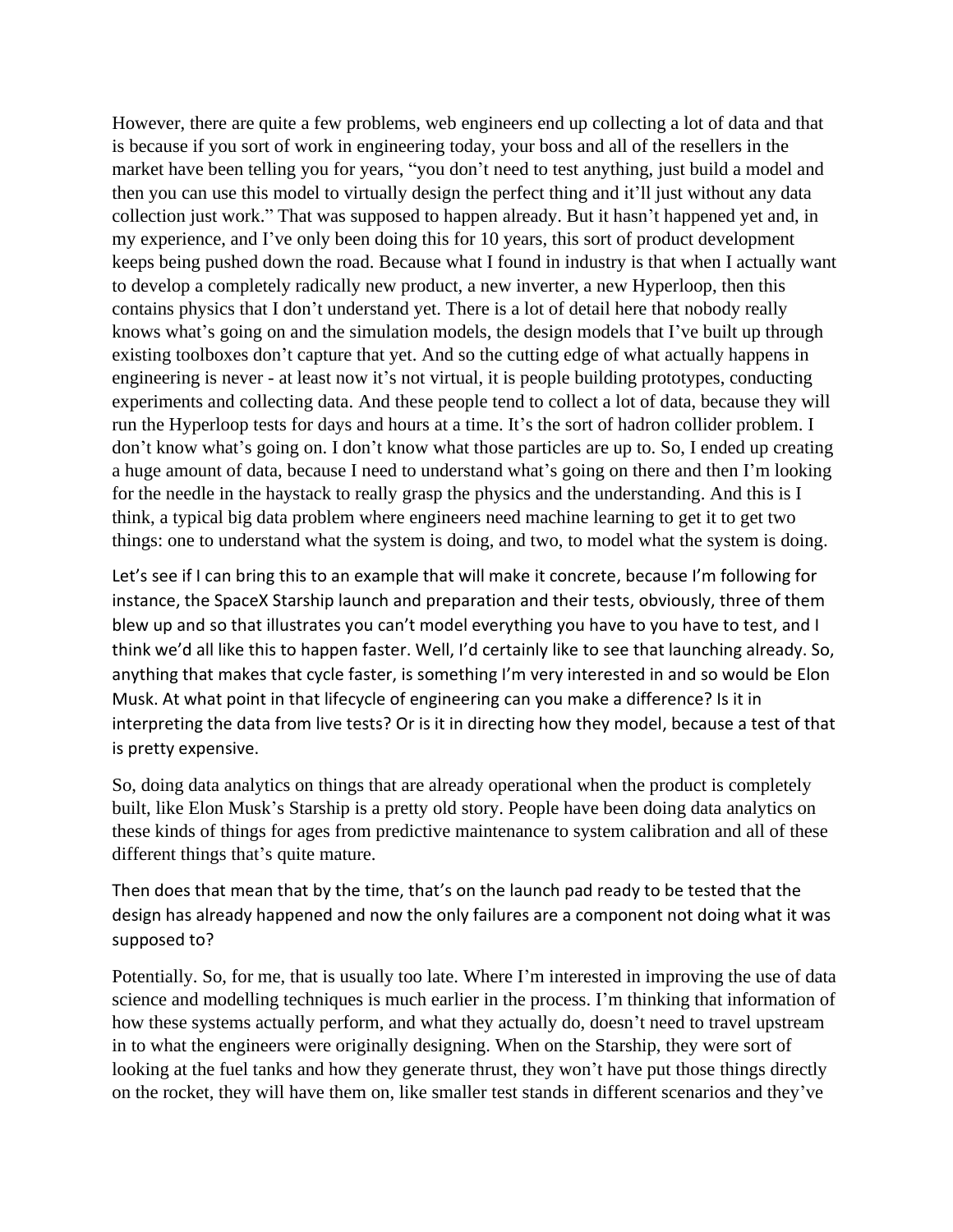However, there are quite a few problems, web engineers end up collecting a lot of data and that is because if you sort of work in engineering today, your boss and all of the resellers in the market have been telling you for years, "you don't need to test anything, just build a model and then you can use this model to virtually design the perfect thing and it'll just without any data collection just work." That was supposed to happen already. But it hasn't happened yet and, in my experience, and I've only been doing this for 10 years, this sort of product development keeps being pushed down the road. Because what I found in industry is that when I actually want to develop a completely radically new product, a new inverter, a new Hyperloop, then this contains physics that I don't understand yet. There is a lot of detail here that nobody really knows what's going on and the simulation models, the design models that I've built up through existing toolboxes don't capture that yet. And so the cutting edge of what actually happens in engineering is never - at least now it's not virtual, it is people building prototypes, conducting experiments and collecting data. And these people tend to collect a lot of data, because they will run the Hyperloop tests for days and hours at a time. It's the sort of hadron collider problem. I don't know what's going on. I don't know what those particles are up to. So, I ended up creating a huge amount of data, because I need to understand what's going on there and then I'm looking for the needle in the haystack to really grasp the physics and the understanding. And this is I think, a typical big data problem where engineers need machine learning to get it to get two things: one to understand what the system is doing, and two, to model what the system is doing.

Let's see if I can bring this to an example that will make it concrete, because I'm following for instance, the SpaceX Starship launch and preparation and their tests, obviously, three of them blew up and so that illustrates you can't model everything you have to you have to test, and I think we'd all like this to happen faster. Well, I'd certainly like to see that launching already. So, anything that makes that cycle faster, is something I'm very interested in and so would be Elon Musk. At what point in that lifecycle of engineering can you make a difference? Is it in interpreting the data from live tests? Or is it in directing how they model, because a test of that is pretty expensive.

So, doing data analytics on things that are already operational when the product is completely built, like Elon Musk's Starship is a pretty old story. People have been doing data analytics on these kinds of things for ages from predictive maintenance to system calibration and all of these different things that's quite mature.

Then does that mean that by the time, that's on the launch pad ready to be tested that the design has already happened and now the only failures are a component not doing what it was supposed to?

Potentially. So, for me, that is usually too late. Where I'm interested in improving the use of data science and modelling techniques is much earlier in the process. I'm thinking that information of how these systems actually perform, and what they actually do, doesn't need to travel upstream in to what the engineers were originally designing. When on the Starship, they were sort of looking at the fuel tanks and how they generate thrust, they won't have put those things directly on the rocket, they will have them on, like smaller test stands in different scenarios and they've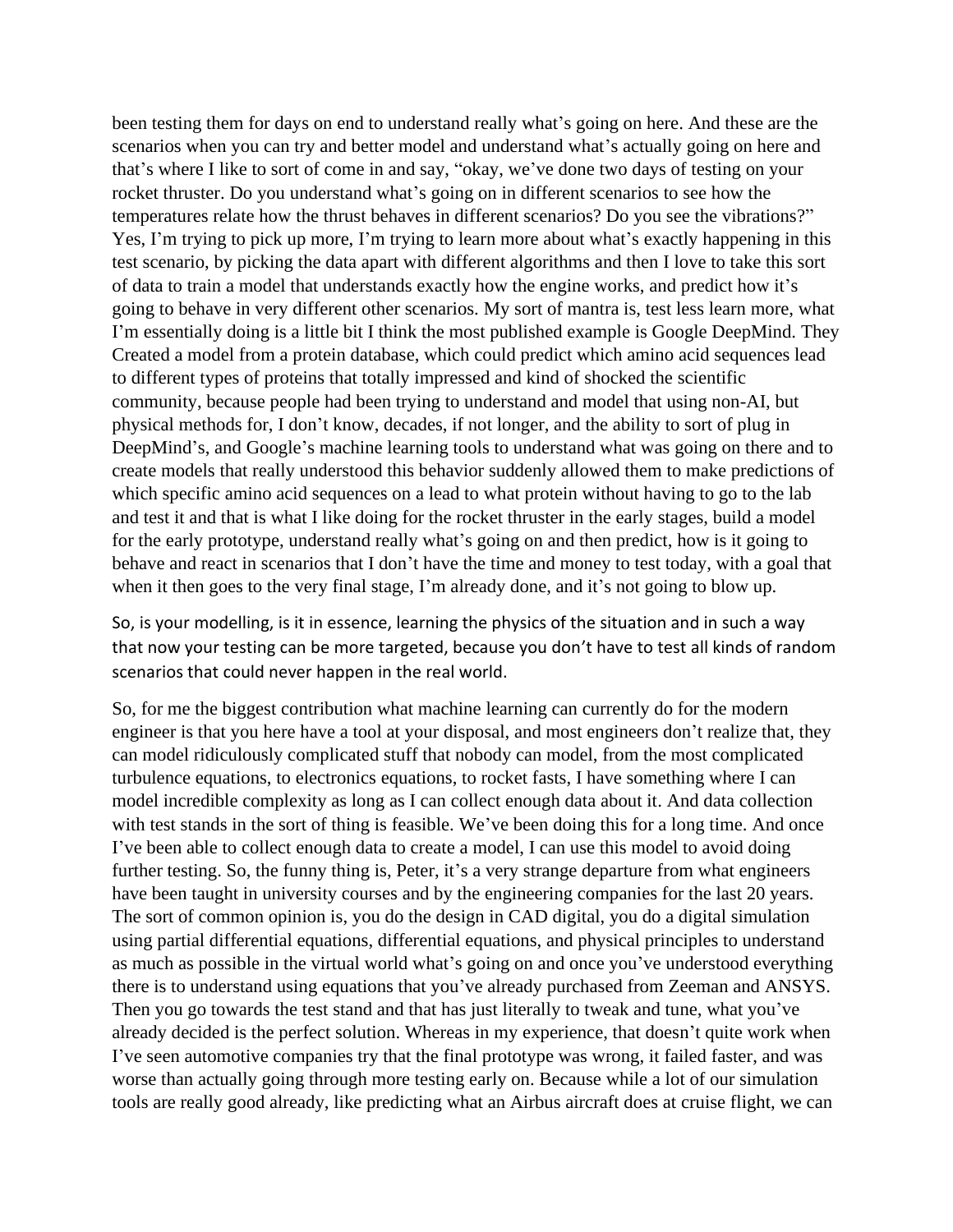been testing them for days on end to understand really what's going on here. And these are the scenarios when you can try and better model and understand what's actually going on here and that's where I like to sort of come in and say, "okay, we've done two days of testing on your rocket thruster. Do you understand what's going on in different scenarios to see how the temperatures relate how the thrust behaves in different scenarios? Do you see the vibrations?" Yes, I'm trying to pick up more, I'm trying to learn more about what's exactly happening in this test scenario, by picking the data apart with different algorithms and then I love to take this sort of data to train a model that understands exactly how the engine works, and predict how it's going to behave in very different other scenarios. My sort of mantra is, test less learn more, what I'm essentially doing is a little bit I think the most published example is Google DeepMind. They Created a model from a protein database, which could predict which amino acid sequences lead to different types of proteins that totally impressed and kind of shocked the scientific community, because people had been trying to understand and model that using non-AI, but physical methods for, I don't know, decades, if not longer, and the ability to sort of plug in DeepMind's, and Google's machine learning tools to understand what was going on there and to create models that really understood this behavior suddenly allowed them to make predictions of which specific amino acid sequences on a lead to what protein without having to go to the lab and test it and that is what I like doing for the rocket thruster in the early stages, build a model for the early prototype, understand really what's going on and then predict, how is it going to behave and react in scenarios that I don't have the time and money to test today, with a goal that when it then goes to the very final stage, I'm already done, and it's not going to blow up.

So, is your modelling, is it in essence, learning the physics of the situation and in such a way that now your testing can be more targeted, because you don't have to test all kinds of random scenarios that could never happen in the real world.

So, for me the biggest contribution what machine learning can currently do for the modern engineer is that you here have a tool at your disposal, and most engineers don't realize that, they can model ridiculously complicated stuff that nobody can model, from the most complicated turbulence equations, to electronics equations, to rocket fasts, I have something where I can model incredible complexity as long as I can collect enough data about it. And data collection with test stands in the sort of thing is feasible. We've been doing this for a long time. And once I've been able to collect enough data to create a model, I can use this model to avoid doing further testing. So, the funny thing is, Peter, it's a very strange departure from what engineers have been taught in university courses and by the engineering companies for the last 20 years. The sort of common opinion is, you do the design in CAD digital, you do a digital simulation using partial differential equations, differential equations, and physical principles to understand as much as possible in the virtual world what's going on and once you've understood everything there is to understand using equations that you've already purchased from Zeeman and ANSYS. Then you go towards the test stand and that has just literally to tweak and tune, what you've already decided is the perfect solution. Whereas in my experience, that doesn't quite work when I've seen automotive companies try that the final prototype was wrong, it failed faster, and was worse than actually going through more testing early on. Because while a lot of our simulation tools are really good already, like predicting what an Airbus aircraft does at cruise flight, we can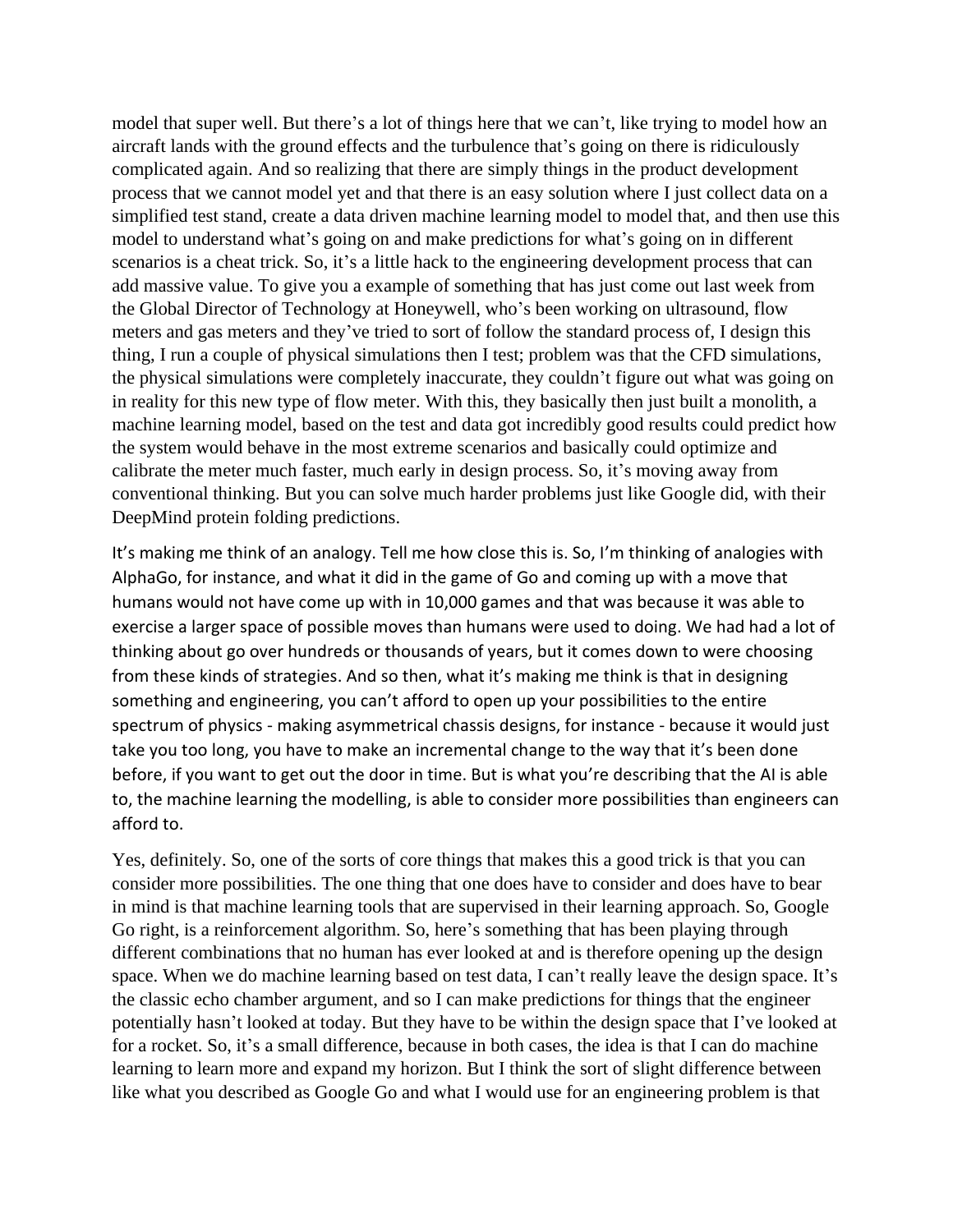model that super well. But there's a lot of things here that we can't, like trying to model how an aircraft lands with the ground effects and the turbulence that's going on there is ridiculously complicated again. And so realizing that there are simply things in the product development process that we cannot model yet and that there is an easy solution where I just collect data on a simplified test stand, create a data driven machine learning model to model that, and then use this model to understand what's going on and make predictions for what's going on in different scenarios is a cheat trick. So, it's a little hack to the engineering development process that can add massive value. To give you a example of something that has just come out last week from the Global Director of Technology at Honeywell, who's been working on ultrasound, flow meters and gas meters and they've tried to sort of follow the standard process of, I design this thing, I run a couple of physical simulations then I test; problem was that the CFD simulations, the physical simulations were completely inaccurate, they couldn't figure out what was going on in reality for this new type of flow meter. With this, they basically then just built a monolith, a machine learning model, based on the test and data got incredibly good results could predict how the system would behave in the most extreme scenarios and basically could optimize and calibrate the meter much faster, much early in design process. So, it's moving away from conventional thinking. But you can solve much harder problems just like Google did, with their DeepMind protein folding predictions.

It's making me think of an analogy. Tell me how close this is. So, I'm thinking of analogies with AlphaGo, for instance, and what it did in the game of Go and coming up with a move that humans would not have come up with in 10,000 games and that was because it was able to exercise a larger space of possible moves than humans were used to doing. We had had a lot of thinking about go over hundreds or thousands of years, but it comes down to were choosing from these kinds of strategies. And so then, what it's making me think is that in designing something and engineering, you can't afford to open up your possibilities to the entire spectrum of physics - making asymmetrical chassis designs, for instance - because it would just take you too long, you have to make an incremental change to the way that it's been done before, if you want to get out the door in time. But is what you're describing that the AI is able to, the machine learning the modelling, is able to consider more possibilities than engineers can afford to.

Yes, definitely. So, one of the sorts of core things that makes this a good trick is that you can consider more possibilities. The one thing that one does have to consider and does have to bear in mind is that machine learning tools that are supervised in their learning approach. So, Google Go right, is a reinforcement algorithm. So, here's something that has been playing through different combinations that no human has ever looked at and is therefore opening up the design space. When we do machine learning based on test data, I can't really leave the design space. It's the classic echo chamber argument, and so I can make predictions for things that the engineer potentially hasn't looked at today. But they have to be within the design space that I've looked at for a rocket. So, it's a small difference, because in both cases, the idea is that I can do machine learning to learn more and expand my horizon. But I think the sort of slight difference between like what you described as Google Go and what I would use for an engineering problem is that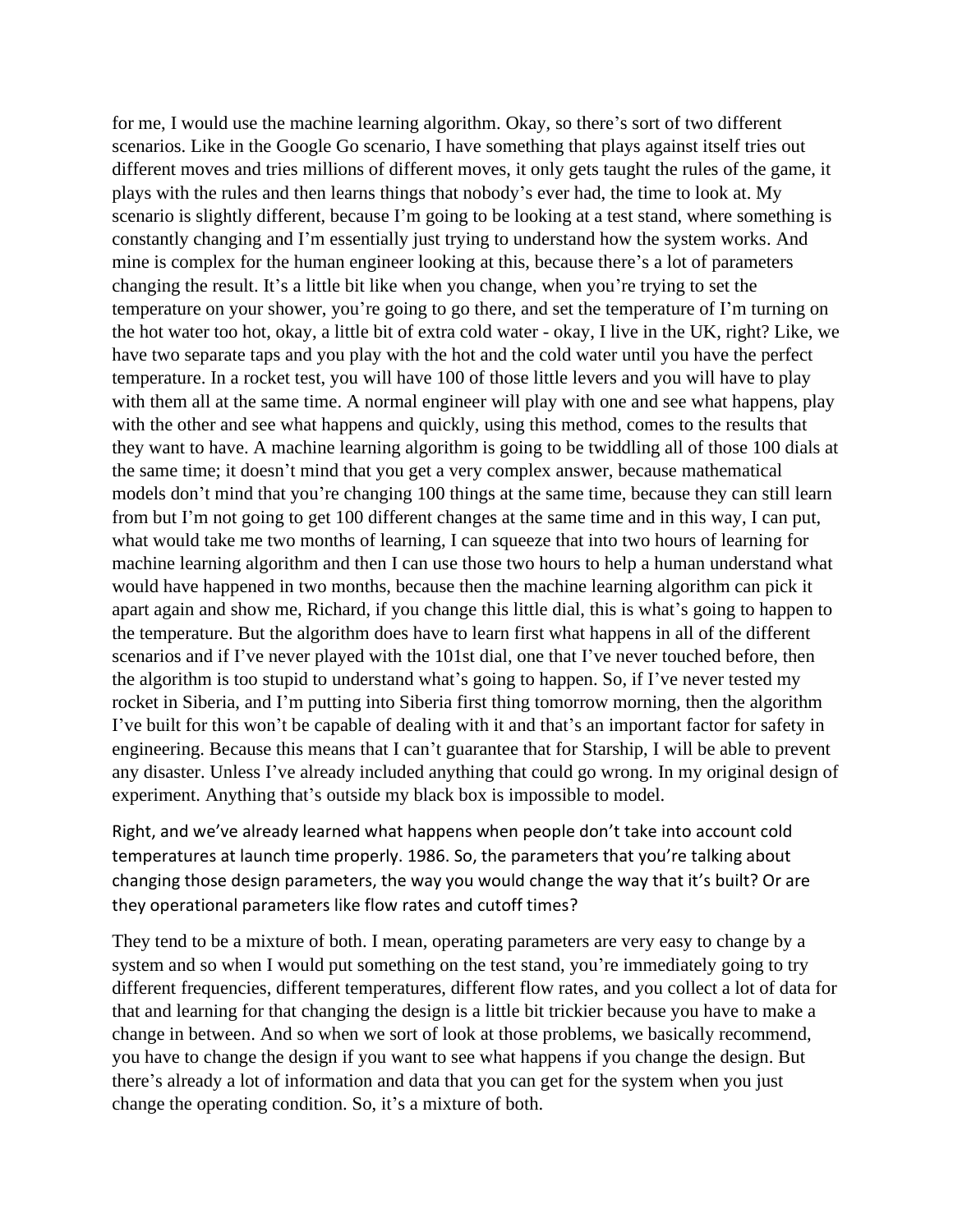for me, I would use the machine learning algorithm. Okay, so there's sort of two different scenarios. Like in the Google Go scenario, I have something that plays against itself tries out different moves and tries millions of different moves, it only gets taught the rules of the game, it plays with the rules and then learns things that nobody's ever had, the time to look at. My scenario is slightly different, because I'm going to be looking at a test stand, where something is constantly changing and I'm essentially just trying to understand how the system works. And mine is complex for the human engineer looking at this, because there's a lot of parameters changing the result. It's a little bit like when you change, when you're trying to set the temperature on your shower, you're going to go there, and set the temperature of I'm turning on the hot water too hot, okay, a little bit of extra cold water - okay, I live in the UK, right? Like, we have two separate taps and you play with the hot and the cold water until you have the perfect temperature. In a rocket test, you will have 100 of those little levers and you will have to play with them all at the same time. A normal engineer will play with one and see what happens, play with the other and see what happens and quickly, using this method, comes to the results that they want to have. A machine learning algorithm is going to be twiddling all of those 100 dials at the same time; it doesn't mind that you get a very complex answer, because mathematical models don't mind that you're changing 100 things at the same time, because they can still learn from but I'm not going to get 100 different changes at the same time and in this way, I can put, what would take me two months of learning, I can squeeze that into two hours of learning for machine learning algorithm and then I can use those two hours to help a human understand what would have happened in two months, because then the machine learning algorithm can pick it apart again and show me, Richard, if you change this little dial, this is what's going to happen to the temperature. But the algorithm does have to learn first what happens in all of the different scenarios and if I've never played with the 101st dial, one that I've never touched before, then the algorithm is too stupid to understand what's going to happen. So, if I've never tested my rocket in Siberia, and I'm putting into Siberia first thing tomorrow morning, then the algorithm I've built for this won't be capable of dealing with it and that's an important factor for safety in engineering. Because this means that I can't guarantee that for Starship, I will be able to prevent any disaster. Unless I've already included anything that could go wrong. In my original design of experiment. Anything that's outside my black box is impossible to model.

Right, and we've already learned what happens when people don't take into account cold temperatures at launch time properly. 1986. So, the parameters that you're talking about changing those design parameters, the way you would change the way that it's built? Or are they operational parameters like flow rates and cutoff times?

They tend to be a mixture of both. I mean, operating parameters are very easy to change by a system and so when I would put something on the test stand, you're immediately going to try different frequencies, different temperatures, different flow rates, and you collect a lot of data for that and learning for that changing the design is a little bit trickier because you have to make a change in between. And so when we sort of look at those problems, we basically recommend, you have to change the design if you want to see what happens if you change the design. But there's already a lot of information and data that you can get for the system when you just change the operating condition. So, it's a mixture of both.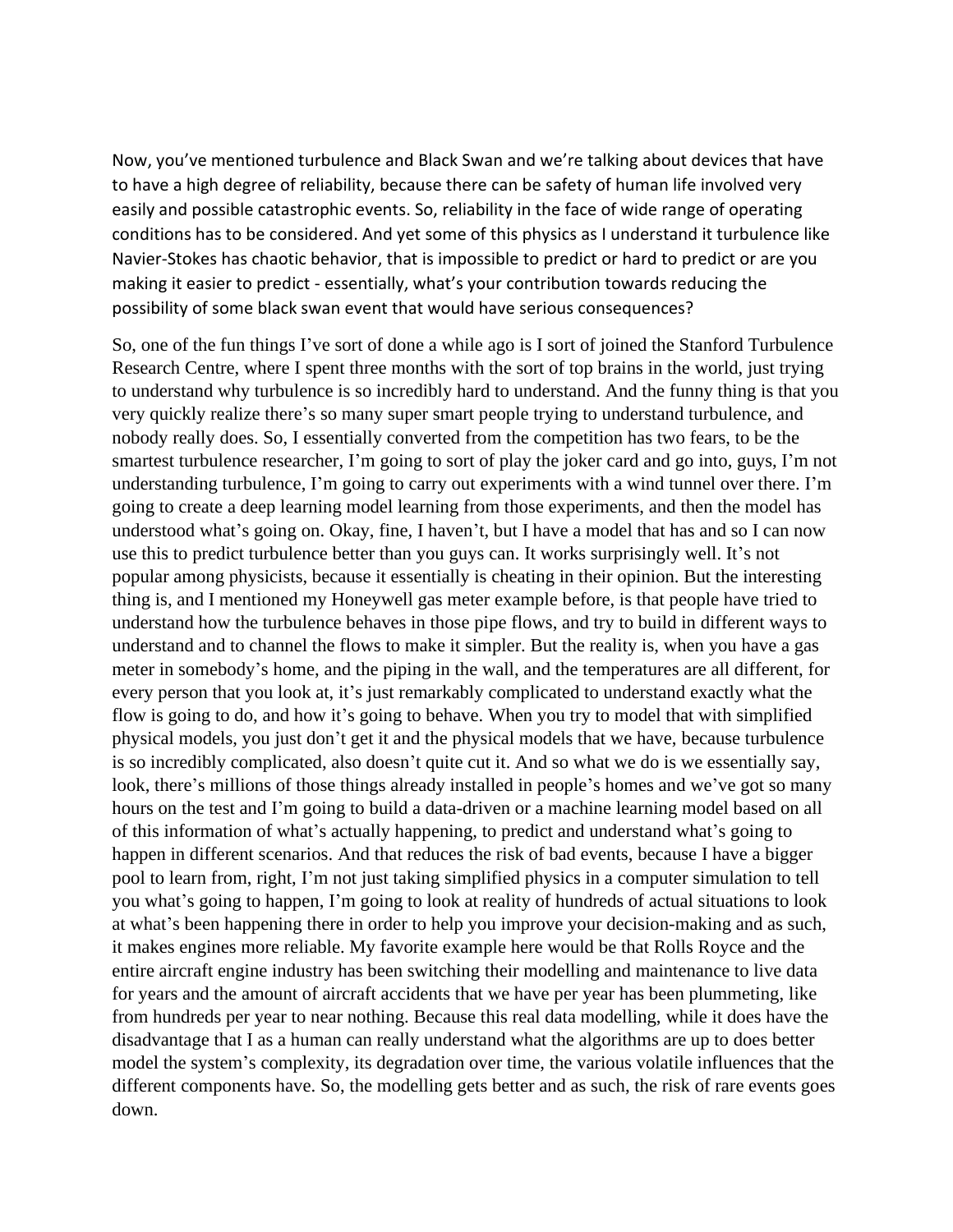Now, you've mentioned turbulence and Black Swan and we're talking about devices that have to have a high degree of reliability, because there can be safety of human life involved very easily and possible catastrophic events. So, reliability in the face of wide range of operating conditions has to be considered. And yet some of this physics as I understand it turbulence like Navier-Stokes has chaotic behavior, that is impossible to predict or hard to predict or are you making it easier to predict - essentially, what's your contribution towards reducing the possibility of some black swan event that would have serious consequences?

So, one of the fun things I've sort of done a while ago is I sort of joined the Stanford Turbulence Research Centre, where I spent three months with the sort of top brains in the world, just trying to understand why turbulence is so incredibly hard to understand. And the funny thing is that you very quickly realize there's so many super smart people trying to understand turbulence, and nobody really does. So, I essentially converted from the competition has two fears, to be the smartest turbulence researcher, I'm going to sort of play the joker card and go into, guys, I'm not understanding turbulence, I'm going to carry out experiments with a wind tunnel over there. I'm going to create a deep learning model learning from those experiments, and then the model has understood what's going on. Okay, fine, I haven't, but I have a model that has and so I can now use this to predict turbulence better than you guys can. It works surprisingly well. It's not popular among physicists, because it essentially is cheating in their opinion. But the interesting thing is, and I mentioned my Honeywell gas meter example before, is that people have tried to understand how the turbulence behaves in those pipe flows, and try to build in different ways to understand and to channel the flows to make it simpler. But the reality is, when you have a gas meter in somebody's home, and the piping in the wall, and the temperatures are all different, for every person that you look at, it's just remarkably complicated to understand exactly what the flow is going to do, and how it's going to behave. When you try to model that with simplified physical models, you just don't get it and the physical models that we have, because turbulence is so incredibly complicated, also doesn't quite cut it. And so what we do is we essentially say, look, there's millions of those things already installed in people's homes and we've got so many hours on the test and I'm going to build a data-driven or a machine learning model based on all of this information of what's actually happening, to predict and understand what's going to happen in different scenarios. And that reduces the risk of bad events, because I have a bigger pool to learn from, right, I'm not just taking simplified physics in a computer simulation to tell you what's going to happen, I'm going to look at reality of hundreds of actual situations to look at what's been happening there in order to help you improve your decision-making and as such, it makes engines more reliable. My favorite example here would be that Rolls Royce and the entire aircraft engine industry has been switching their modelling and maintenance to live data for years and the amount of aircraft accidents that we have per year has been plummeting, like from hundreds per year to near nothing. Because this real data modelling, while it does have the disadvantage that I as a human can really understand what the algorithms are up to does better model the system's complexity, its degradation over time, the various volatile influences that the different components have. So, the modelling gets better and as such, the risk of rare events goes down.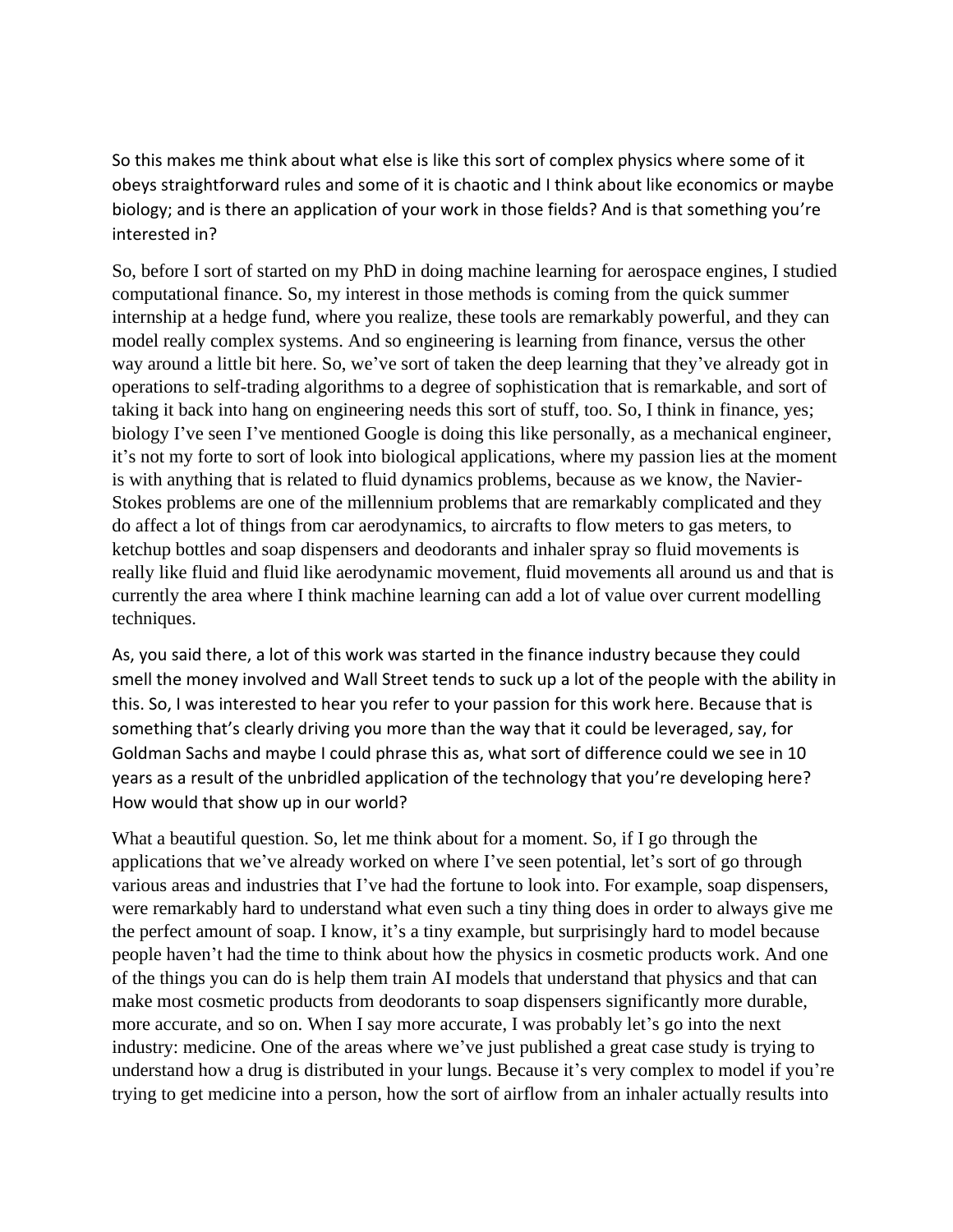So this makes me think about what else is like this sort of complex physics where some of it obeys straightforward rules and some of it is chaotic and I think about like economics or maybe biology; and is there an application of your work in those fields? And is that something you're interested in?

So, before I sort of started on my PhD in doing machine learning for aerospace engines, I studied computational finance. So, my interest in those methods is coming from the quick summer internship at a hedge fund, where you realize, these tools are remarkably powerful, and they can model really complex systems. And so engineering is learning from finance, versus the other way around a little bit here. So, we've sort of taken the deep learning that they've already got in operations to self-trading algorithms to a degree of sophistication that is remarkable, and sort of taking it back into hang on engineering needs this sort of stuff, too. So, I think in finance, yes; biology I've seen I've mentioned Google is doing this like personally, as a mechanical engineer, it's not my forte to sort of look into biological applications, where my passion lies at the moment is with anything that is related to fluid dynamics problems, because as we know, the Navier-Stokes problems are one of the millennium problems that are remarkably complicated and they do affect a lot of things from car aerodynamics, to aircrafts to flow meters to gas meters, to ketchup bottles and soap dispensers and deodorants and inhaler spray so fluid movements is really like fluid and fluid like aerodynamic movement, fluid movements all around us and that is currently the area where I think machine learning can add a lot of value over current modelling techniques.

As, you said there, a lot of this work was started in the finance industry because they could smell the money involved and Wall Street tends to suck up a lot of the people with the ability in this. So, I was interested to hear you refer to your passion for this work here. Because that is something that's clearly driving you more than the way that it could be leveraged, say, for Goldman Sachs and maybe I could phrase this as, what sort of difference could we see in 10 years as a result of the unbridled application of the technology that you're developing here? How would that show up in our world?

What a beautiful question. So, let me think about for a moment. So, if I go through the applications that we've already worked on where I've seen potential, let's sort of go through various areas and industries that I've had the fortune to look into. For example, soap dispensers, were remarkably hard to understand what even such a tiny thing does in order to always give me the perfect amount of soap. I know, it's a tiny example, but surprisingly hard to model because people haven't had the time to think about how the physics in cosmetic products work. And one of the things you can do is help them train AI models that understand that physics and that can make most cosmetic products from deodorants to soap dispensers significantly more durable, more accurate, and so on. When I say more accurate, I was probably let's go into the next industry: medicine. One of the areas where we've just published a great case study is trying to understand how a drug is distributed in your lungs. Because it's very complex to model if you're trying to get medicine into a person, how the sort of airflow from an inhaler actually results into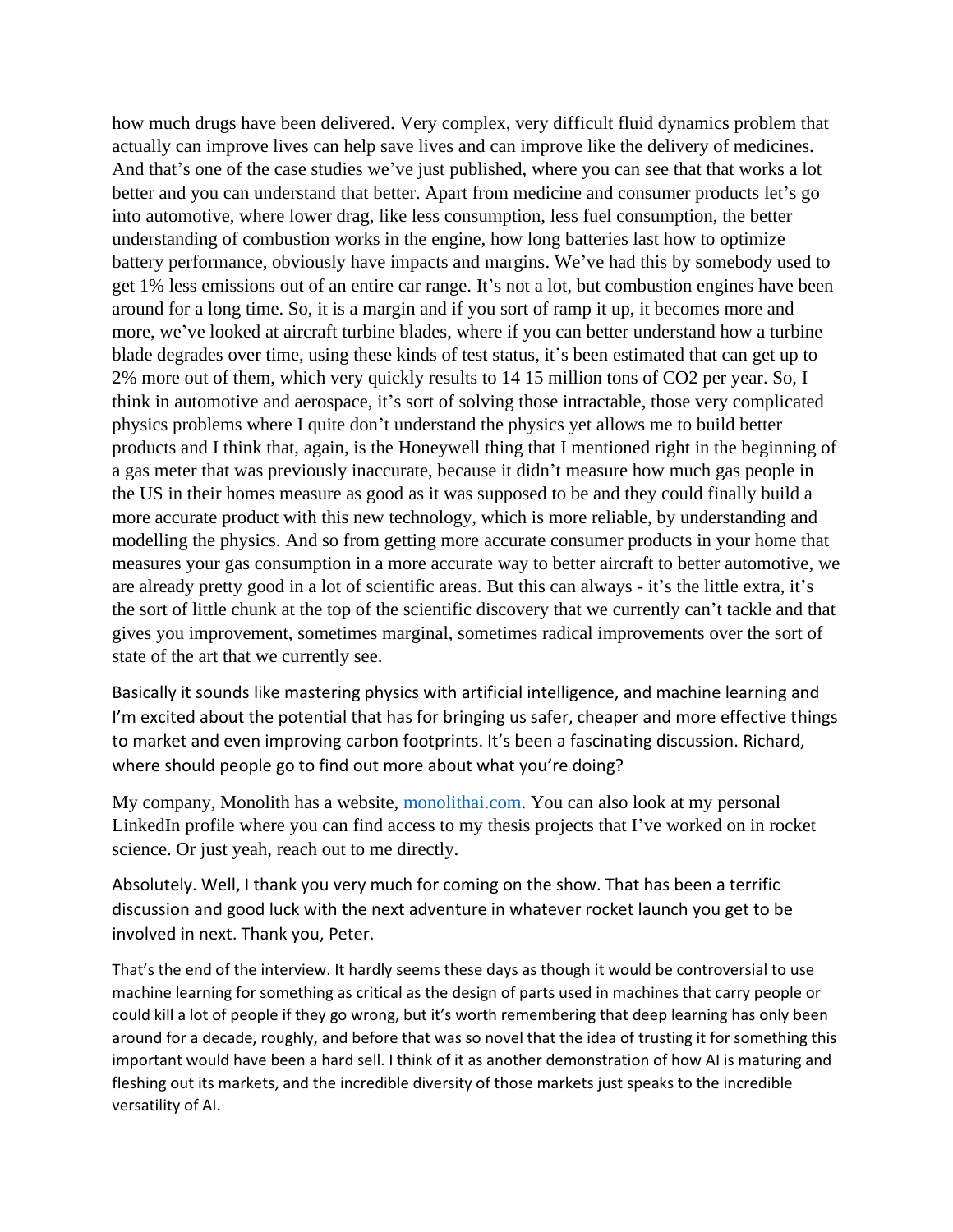how much drugs have been delivered. Very complex, very difficult fluid dynamics problem that actually can improve lives can help save lives and can improve like the delivery of medicines. And that's one of the case studies we've just published, where you can see that that works a lot better and you can understand that better. Apart from medicine and consumer products let's go into automotive, where lower drag, like less consumption, less fuel consumption, the better understanding of combustion works in the engine, how long batteries last how to optimize battery performance, obviously have impacts and margins. We've had this by somebody used to get 1% less emissions out of an entire car range. It's not a lot, but combustion engines have been around for a long time. So, it is a margin and if you sort of ramp it up, it becomes more and more, we've looked at aircraft turbine blades, where if you can better understand how a turbine blade degrades over time, using these kinds of test status, it's been estimated that can get up to 2% more out of them, which very quickly results to 14 15 million tons of CO2 per year. So, I think in automotive and aerospace, it's sort of solving those intractable, those very complicated physics problems where I quite don't understand the physics yet allows me to build better products and I think that, again, is the Honeywell thing that I mentioned right in the beginning of a gas meter that was previously inaccurate, because it didn't measure how much gas people in the US in their homes measure as good as it was supposed to be and they could finally build a more accurate product with this new technology, which is more reliable, by understanding and modelling the physics. And so from getting more accurate consumer products in your home that measures your gas consumption in a more accurate way to better aircraft to better automotive, we are already pretty good in a lot of scientific areas. But this can always - it's the little extra, it's the sort of little chunk at the top of the scientific discovery that we currently can't tackle and that gives you improvement, sometimes marginal, sometimes radical improvements over the sort of state of the art that we currently see.

Basically it sounds like mastering physics with artificial intelligence, and machine learning and I'm excited about the potential that has for bringing us safer, cheaper and more effective things to market and even improving carbon footprints. It's been a fascinating discussion. Richard, where should people go to find out more about what you're doing?

My company, Monolith has a website, [monolithai.com.](https://monolithai.com/) You can also look at my personal LinkedIn profile where you can find access to my thesis projects that I've worked on in rocket science. Or just yeah, reach out to me directly.

Absolutely. Well, I thank you very much for coming on the show. That has been a terrific discussion and good luck with the next adventure in whatever rocket launch you get to be involved in next. Thank you, Peter.

That's the end of the interview. It hardly seems these days as though it would be controversial to use machine learning for something as critical as the design of parts used in machines that carry people or could kill a lot of people if they go wrong, but it's worth remembering that deep learning has only been around for a decade, roughly, and before that was so novel that the idea of trusting it for something this important would have been a hard sell. I think of it as another demonstration of how AI is maturing and fleshing out its markets, and the incredible diversity of those markets just speaks to the incredible versatility of AI.